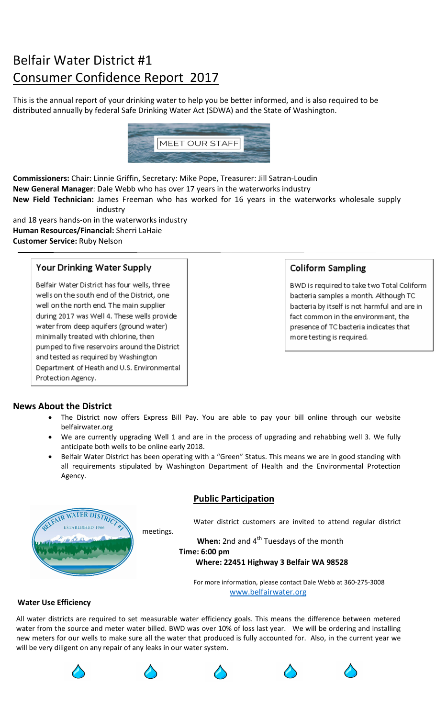# Belfair Water District #1 Consumer Confidence Report 2017

This is the annual report of your drinking water to help you be better informed, and is also required to be distributed annually by federal Safe Drinking Water Act (SDWA) and the State of Washington.



Commissioners: Chair: Linnie Griffin, Secretary: Mike Pope, Treasurer: Jill Satran-Loudin New General Manager: Dale Webb who has over 17 years in the waterworks industry New Field Technician: James Freeman who has worked for 16 years in the waterworks wholesale supply industry

and 18 years hands-on in the waterworks industry Human Resources/Financial: Sherri LaHaie Customer Service: Ruby Nelson

# Your Drinking Water Supply

Belfair Water District has four wells, three wells on the south end of the District, one well on the north end. The main supplier during 2017 was Well 4. These wells provide water from deep aquifers (ground water) minimally treated with chlorine, then pumped to five reservoirs around the District and tested as required by Washington Department of Heath and U.S. Environmental Protection Agency.

# **Coliform Sampling**

BWD is required to take two Total Coliform bacteria samples a month. Although TC bacteria by itself is not harmful and are in fact common in the environment, the presence of TC bacteria indicates that more testing is required.

# News About the District

- The District now offers Express Bill Pay. You are able to pay your bill online through our website belfairwater.org
- We are currently upgrading Well 1 and are in the process of upgrading and rehabbing well 3. We fully anticipate both wells to be online early 2018.
- Belfair Water District has been operating with a "Green" Status. This means we are in good standing with all requirements stipulated by Washington Department of Health and the Environmental Protection Agency.



# Public Participation

Water district customers are invited to attend regular district

When: 2nd and 4<sup>th</sup> Tuesdays of the month Time: 6:00 pm

### Where: 22451 Highway 3 Belfair WA 98528

 For more information, please contact Dale Webb at 360-275-3008 www.belfairwater.org

### Water Use Efficiency

All water districts are required to set measurable water efficiency goals. This means the difference between metered water from the source and meter water billed. BWD was over 10% of loss last year. We will be ordering and installing new meters for our wells to make sure all the water that produced is fully accounted for. Also, in the current year we will be very diligent on any repair of any leaks in our water system.